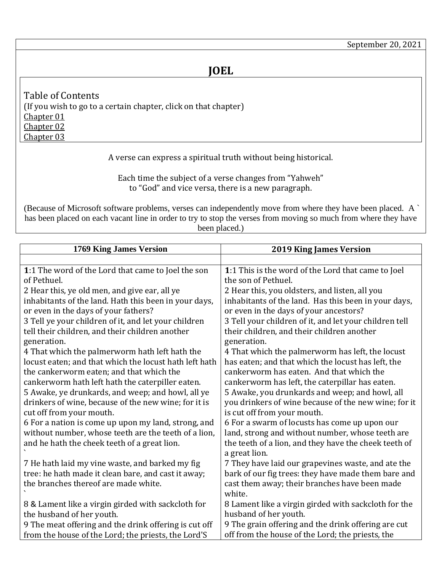<span id="page-0-3"></span><span id="page-0-2"></span><span id="page-0-1"></span>Table of Contents (If you wish to go to a certain chapter, click on that chapter) [Chapter 01](#page-0-0) [Chapter 02](#page-1-0) [Chapter 03](#page-4-0)

A verse can express a spiritual truth without being historical.

Each time the subject of a verse changes from "Yahweh" to "God" and vice versa, there is a new paragraph.

(Because of Microsoft software problems, verses can independently move from where they have been placed. A ` has been placed on each vacant line in order to try to stop the verses from moving so much from where they have been placed.)

<span id="page-0-0"></span>

| 1769 King James Version                                                          | <b>2019 King James Version</b>                                                      |
|----------------------------------------------------------------------------------|-------------------------------------------------------------------------------------|
|                                                                                  |                                                                                     |
| 1:1 The word of the Lord that came to Joel the son                               | 1:1 This is the word of the Lord that came to Joel                                  |
| of Pethuel.                                                                      | the son of Pethuel.                                                                 |
| 2 Hear this, ye old men, and give ear, all ye                                    | 2 Hear this, you oldsters, and listen, all you                                      |
| inhabitants of the land. Hath this been in your days,                            | inhabitants of the land. Has this been in your days,                                |
| or even in the days of your fathers?                                             | or even in the days of your ancestors?                                              |
| 3 Tell ye your children of it, and let your children                             | 3 Tell your children of it, and let your children tell                              |
| tell their children, and their children another                                  | their children, and their children another                                          |
| generation.                                                                      | generation.                                                                         |
| 4 That which the palmerworm hath left hath the                                   | 4 That which the palmerworm has left, the locust                                    |
| locust eaten; and that which the locust hath left hath                           | has eaten; and that which the locust has left, the                                  |
| the cankerworm eaten; and that which the                                         | cankerworm has eaten. And that which the                                            |
| cankerworm hath left hath the caterpiller eaten.                                 | cankerworm has left, the caterpillar has eaten.                                     |
| 5 Awake, ye drunkards, and weep; and howl, all ye                                | 5 Awake, you drunkards and weep; and howl, all                                      |
| drinkers of wine, because of the new wine; for it is<br>cut off from your mouth. | you drinkers of wine because of the new wine; for it<br>is cut off from your mouth. |
| 6 For a nation is come up upon my land, strong, and                              | 6 For a swarm of locusts has come up upon our                                       |
| without number, whose teeth are the teeth of a lion,                             | land, strong and without number, whose teeth are                                    |
| and he hath the cheek teeth of a great lion.                                     | the teeth of a lion, and they have the cheek teeth of                               |
|                                                                                  | a great lion.                                                                       |
| 7 He hath laid my vine waste, and barked my fig                                  | 7 They have laid our grapevines waste, and ate the                                  |
| tree: he hath made it clean bare, and cast it away;                              | bark of our fig trees: they have made them bare and                                 |
| the branches thereof are made white.                                             | cast them away; their branches have been made                                       |
|                                                                                  | white.                                                                              |
| 8 & Lament like a virgin girded with sackcloth for                               | 8 Lament like a virgin girded with sackcloth for the                                |
| the husband of her youth.                                                        | husband of her youth.                                                               |
| 9 The meat offering and the drink offering is cut off                            | 9 The grain offering and the drink offering are cut                                 |
| from the house of the Lord; the priests, the Lord'S                              | off from the house of the Lord; the priests, the                                    |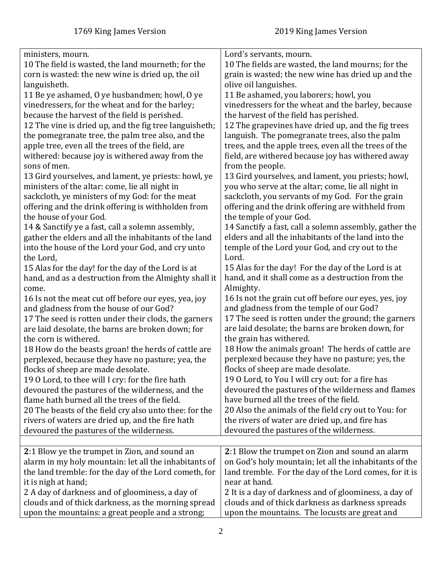<span id="page-1-0"></span>

| ministers, mourn.                                      | Lord's servants, mourn.                                |
|--------------------------------------------------------|--------------------------------------------------------|
| 10 The field is wasted, the land mourneth; for the     | 10 The fields are wasted, the land mourns; for the     |
| corn is wasted: the new wine is dried up, the oil      | grain is wasted; the new wine has dried up and the     |
| languisheth.                                           | olive oil languishes.                                  |
| 11 Be ye ashamed, O ye husbandmen; howl, O ye          | 11 Be ashamed, you laborers; howl, you                 |
| vinedressers, for the wheat and for the barley;        | vinedressers for the wheat and the barley, because     |
| because the harvest of the field is perished.          | the harvest of the field has perished.                 |
| 12 The vine is dried up, and the fig tree languisheth; | 12 The grapevines have dried up, and the fig trees     |
| the pomegranate tree, the palm tree also, and the      | languish. The pomegranate trees, also the palm         |
| apple tree, even all the trees of the field, are       | trees, and the apple trees, even all the trees of the  |
| withered: because joy is withered away from the        | field, are withered because joy has withered away      |
| sons of men.                                           | from the people.                                       |
| 13 Gird yourselves, and lament, ye priests: howl, ye   | 13 Gird yourselves, and lament, you priests; howl,     |
| ministers of the altar: come, lie all night in         | you who serve at the altar; come, lie all night in     |
| sackcloth, ye ministers of my God: for the meat        | sackcloth, you servants of my God. For the grain       |
| offering and the drink offering is withholden from     | offering and the drink offering are withheld from      |
| the house of your God.                                 | the temple of your God.                                |
| 14 & Sanctify ye a fast, call a solemn assembly,       | 14 Sanctify a fast, call a solemn assembly, gather the |
| gather the elders and all the inhabitants of the land  | elders and all the inhabitants of the land into the    |
| into the house of the Lord your God, and cry unto      | temple of the Lord your God, and cry out to the        |
| the Lord,                                              | Lord.                                                  |
| 15 Alas for the day! for the day of the Lord is at     | 15 Alas for the day! For the day of the Lord is at     |
| hand, and as a destruction from the Almighty shall it  | hand, and it shall come as a destruction from the      |
| come.                                                  | Almighty.                                              |
| 16 Is not the meat cut off before our eyes, yea, joy   | 16 Is not the grain cut off before our eyes, yes, joy  |
| and gladness from the house of our God?                | and gladness from the temple of our God?               |
| 17 The seed is rotten under their clods, the garners   | 17 The seed is rotten under the ground; the garners    |
| are laid desolate, the barns are broken down; for      | are laid desolate; the barns are broken down, for      |
| the corn is withered.                                  | the grain has withered.                                |
| 18 How do the beasts groan! the herds of cattle are    | 18 How the animals groan! The herds of cattle are      |
| perplexed, because they have no pasture; yea, the      | perplexed because they have no pasture; yes, the       |
| flocks of sheep are made desolate.                     | flocks of sheep are made desolate.                     |
| 19 0 Lord, to thee will I cry: for the fire hath       | 19 O Lord, to You I will cry out: for a fire has       |
| devoured the pastures of the wilderness, and the       | devoured the pastures of the wilderness and flames     |
| flame hath burned all the trees of the field.          | have burned all the trees of the field.                |
| 20 The beasts of the field cry also unto thee: for the | 20 Also the animals of the field cry out to You: for   |
| rivers of waters are dried up, and the fire hath       | the rivers of water are dried up, and fire has         |
| devoured the pastures of the wilderness.               | devoured the pastures of the wilderness.               |
|                                                        |                                                        |
| 2:1 Blow ye the trumpet in Zion, and sound an          | 2:1 Blow the trumpet on Zion and sound an alarm        |
| alarm in my holy mountain: let all the inhabitants of  | on God's holy mountain; let all the inhabitants of the |
| the land tremble: for the day of the Lord cometh, for  | land tremble. For the day of the Lord comes, for it is |
| it is nigh at hand;                                    | near at hand.                                          |
| 2 A day of darkness and of gloominess, a day of        | 2 It is a day of darkness and of gloominess, a day of  |
| clouds and of thick darkness, as the morning spread    | clouds and of thick darkness as darkness spreads       |
| upon the mountains: a great people and a strong;       | upon the mountains. The locusts are great and          |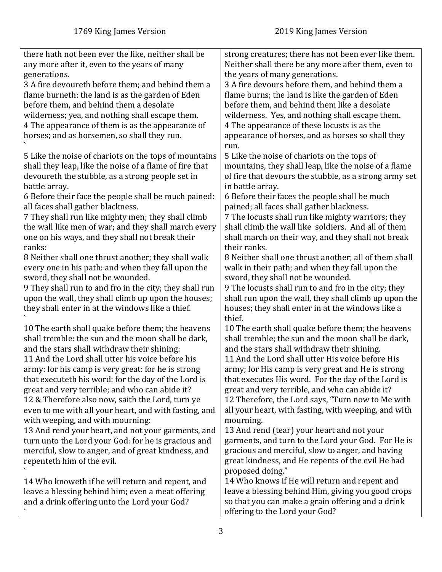| there hath not been ever the like, neither shall be     | strong creatures; there has not been ever like them.   |
|---------------------------------------------------------|--------------------------------------------------------|
| any more after it, even to the years of many            | Neither shall there be any more after them, even to    |
| generations.                                            | the years of many generations.                         |
| 3 A fire devoureth before them; and behind them a       | 3 A fire devours before them, and behind them a        |
| flame burneth: the land is as the garden of Eden        | flame burns; the land is like the garden of Eden       |
|                                                         |                                                        |
| before them, and behind them a desolate                 | before them, and behind them like a desolate           |
| wilderness; yea, and nothing shall escape them.         | wilderness. Yes, and nothing shall escape them.        |
| 4 The appearance of them is as the appearance of        | 4 The appearance of these locusts is as the            |
| horses; and as horsemen, so shall they run.             | appearance of horses, and as horses so shall they      |
|                                                         | run.                                                   |
|                                                         |                                                        |
| 5 Like the noise of chariots on the tops of mountains   | 5 Like the noise of chariots on the tops of            |
| shall they leap, like the noise of a flame of fire that | mountains, they shall leap, like the noise of a flame  |
| devoureth the stubble, as a strong people set in        | of fire that devours the stubble, as a strong army set |
| battle array.                                           | in battle array.                                       |
| 6 Before their face the people shall be much pained:    | 6 Before their faces the people shall be much          |
| all faces shall gather blackness.                       | pained; all faces shall gather blackness.              |
|                                                         |                                                        |
| 7 They shall run like mighty men; they shall climb      | 7 The locusts shall run like mighty warriors; they     |
| the wall like men of war; and they shall march every    | shall climb the wall like soldiers. And all of them    |
| one on his ways, and they shall not break their         | shall march on their way, and they shall not break     |
| ranks:                                                  | their ranks.                                           |
| 8 Neither shall one thrust another; they shall walk     | 8 Neither shall one thrust another; all of them shall  |
| every one in his path: and when they fall upon the      | walk in their path; and when they fall upon the        |
|                                                         |                                                        |
| sword, they shall not be wounded.                       | sword, they shall not be wounded.                      |
| 9 They shall run to and fro in the city; they shall run | 9 The locusts shall run to and fro in the city; they   |
| upon the wall, they shall climb up upon the houses;     | shall run upon the wall, they shall climb up upon the  |
| they shall enter in at the windows like a thief.        | houses; they shall enter in at the windows like a      |
|                                                         | thief.                                                 |
| 10 The earth shall quake before them; the heavens       | 10 The earth shall quake before them; the heavens      |
| shall tremble: the sun and the moon shall be dark,      | shall tremble; the sun and the moon shall be dark,     |
| and the stars shall withdraw their shining:             |                                                        |
|                                                         | and the stars shall withdraw their shining.            |
| 11 And the Lord shall utter his voice before his        | 11 And the Lord shall utter His voice before His       |
| army: for his camp is very great: for he is strong      | army; for His camp is very great and He is strong      |
| that executeth his word: for the day of the Lord is     | that executes His word. For the day of the Lord is     |
| great and very terrible; and who can abide it?          | great and very terrible, and who can abide it?         |
| 12 & Therefore also now, saith the Lord, turn ye        | 12 Therefore, the Lord says, "Turn now to Me with      |
| even to me with all your heart, and with fasting, and   | all your heart, with fasting, with weeping, and with   |
|                                                         |                                                        |
| with weeping, and with mourning:                        | mourning.                                              |
| 13 And rend your heart, and not your garments, and      | 13 And rend (tear) your heart and not your             |
| turn unto the Lord your God: for he is gracious and     | garments, and turn to the Lord your God. For He is     |
| merciful, slow to anger, and of great kindness, and     | gracious and merciful, slow to anger, and having       |
| repenteth him of the evil.                              | great kindness, and He repents of the evil He had      |
|                                                         | proposed doing."                                       |
|                                                         |                                                        |
| 14 Who knoweth if he will return and repent, and        | 14 Who knows if He will return and repent and          |
| leave a blessing behind him; even a meat offering       | leave a blessing behind Him, giving you good crops     |
| and a drink offering unto the Lord your God?            | so that you can make a grain offering and a drink      |
|                                                         | offering to the Lord your God?                         |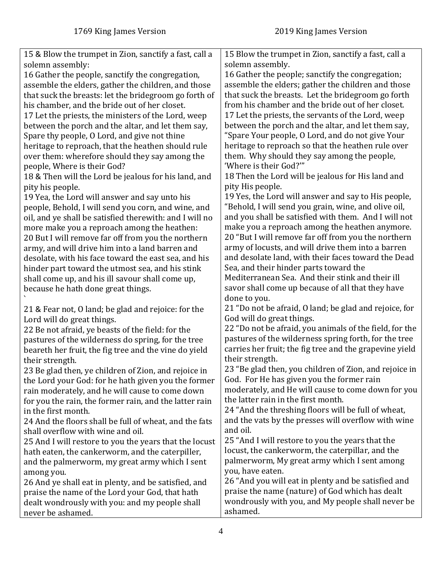| 15 & Blow the trumpet in Zion, sanctify a fast, call a  | 15 Blow the trumpet in Zion, sanctify a fast, call a    |
|---------------------------------------------------------|---------------------------------------------------------|
| solemn assembly:                                        | solemn assembly.                                        |
| 16 Gather the people, sanctify the congregation,        | 16 Gather the people; sanctify the congregation;        |
| assemble the elders, gather the children, and those     | assemble the elders; gather the children and those      |
| that suck the breasts: let the bridegroom go forth of   | that suck the breasts. Let the bridegroom go forth      |
| his chamber, and the bride out of her closet.           | from his chamber and the bride out of her closet.       |
| 17 Let the priests, the ministers of the Lord, weep     | 17 Let the priests, the servants of the Lord, weep      |
| between the porch and the altar, and let them say,      | between the porch and the altar, and let them say,      |
| Spare thy people, O Lord, and give not thine            | "Spare Your people, O Lord, and do not give Your        |
| heritage to reproach, that the heathen should rule      | heritage to reproach so that the heathen rule over      |
| over them: wherefore should they say among the          | them. Why should they say among the people,             |
| people, Where is their God?                             | 'Where is their God?"                                   |
| 18 & Then will the Lord be jealous for his land, and    | 18 Then the Lord will be jealous for His land and       |
|                                                         | pity His people.                                        |
| pity his people.                                        |                                                         |
| 19 Yea, the Lord will answer and say unto his           | 19 Yes, the Lord will answer and say to His people,     |
| people, Behold, I will send you corn, and wine, and     | "Behold, I will send you grain, wine, and olive oil,    |
| oil, and ye shall be satisfied therewith: and I will no | and you shall be satisfied with them. And I will not    |
| more make you a reproach among the heathen:             | make you a reproach among the heathen anymore.          |
| 20 But I will remove far off from you the northern      | 20 "But I will remove far off from you the northern     |
| army, and will drive him into a land barren and         | army of locusts, and will drive them into a barren      |
| desolate, with his face toward the east sea, and his    | and desolate land, with their faces toward the Dead     |
| hinder part toward the utmost sea, and his stink        | Sea, and their hinder parts toward the                  |
| shall come up, and his ill savour shall come up,        | Mediterranean Sea. And their stink and their ill        |
| because he hath done great things.                      | savor shall come up because of all that they have       |
|                                                         | done to you.                                            |
| 21 & Fear not, O land; be glad and rejoice: for the     | 21 "Do not be afraid, O land; be glad and rejoice, for  |
| Lord will do great things.                              | God will do great things.                               |
| 22 Be not afraid, ye beasts of the field: for the       | 22 "Do not be afraid, you animals of the field, for the |
| pastures of the wilderness do spring, for the tree      | pastures of the wilderness spring forth, for the tree   |
| beareth her fruit, the fig tree and the vine do yield   | carries her fruit; the fig tree and the grapevine yield |
| their strength.                                         | their strength.                                         |
| 23 Be glad then, ye children of Zion, and rejoice in    | 23 "Be glad then, you children of Zion, and rejoice in  |
| the Lord your God: for he hath given you the former     | God. For He has given you the former rain               |
| rain moderately, and he will cause to come down         | moderately, and He will cause to come down for you      |
| for you the rain, the former rain, and the latter rain  | the latter rain in the first month.                     |
| in the first month.                                     | 24 "And the threshing floors will be full of wheat,     |
| 24 And the floors shall be full of wheat, and the fats  | and the vats by the presses will overflow with wine     |
| shall overflow with wine and oil.                       | and oil.                                                |
|                                                         | 25 "And I will restore to you the years that the        |
| 25 And I will restore to you the years that the locust  | locust, the cankerworm, the caterpillar, and the        |
| hath eaten, the cankerworm, and the caterpiller,        | palmerworm, My great army which I sent among            |
| and the palmerworm, my great army which I sent          |                                                         |
| among you.                                              | you, have eaten.                                        |
| 26 And ye shall eat in plenty, and be satisfied, and    | 26 "And you will eat in plenty and be satisfied and     |
| praise the name of the Lord your God, that hath         | praise the name (nature) of God which has dealt         |
| dealt wondrously with you: and my people shall          | wondrously with you, and My people shall never be       |
| never be ashamed.                                       | ashamed.                                                |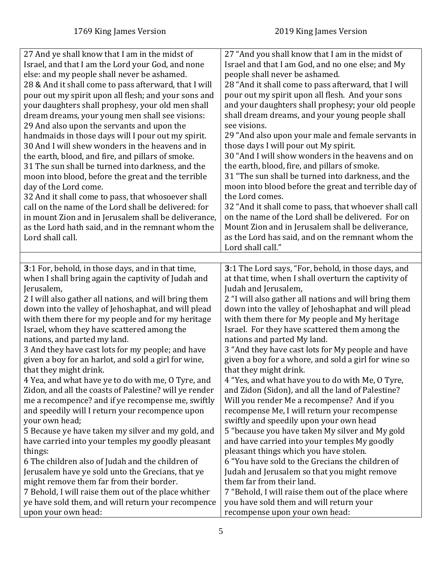<span id="page-4-0"></span>

| 27 And ye shall know that I am in the midst of<br>Israel, and that I am the Lord your God, and none<br>else: and my people shall never be ashamed.<br>28 & And it shall come to pass afterward, that I will<br>pour out my spirit upon all flesh; and your sons and<br>your daughters shall prophesy, your old men shall<br>dream dreams, your young men shall see visions:<br>29 And also upon the servants and upon the<br>handmaids in those days will I pour out my spirit.<br>30 And I will shew wonders in the heavens and in<br>the earth, blood, and fire, and pillars of smoke.<br>31 The sun shall be turned into darkness, and the<br>moon into blood, before the great and the terrible<br>day of the Lord come.<br>32 And it shall come to pass, that whosoever shall<br>call on the name of the Lord shall be delivered: for<br>in mount Zion and in Jerusalem shall be deliverance,<br>as the Lord hath said, and in the remnant whom the<br>Lord shall call. | 27 "And you shall know that I am in the midst of<br>Israel and that I am God, and no one else; and My<br>people shall never be ashamed.<br>28 "And it shall come to pass afterward, that I will<br>pour out my spirit upon all flesh. And your sons<br>and your daughters shall prophesy; your old people<br>shall dream dreams, and your young people shall<br>see visions.<br>29 "And also upon your male and female servants in<br>those days I will pour out My spirit.<br>30 "And I will show wonders in the heavens and on<br>the earth, blood, fire, and pillars of smoke.<br>31 "The sun shall be turned into darkness, and the<br>moon into blood before the great and terrible day of<br>the Lord comes.<br>32 "And it shall come to pass, that whoever shall call<br>on the name of the Lord shall be delivered. For on<br>Mount Zion and in Jerusalem shall be deliverance,<br>as the Lord has said, and on the remnant whom the<br>Lord shall call." |
|------------------------------------------------------------------------------------------------------------------------------------------------------------------------------------------------------------------------------------------------------------------------------------------------------------------------------------------------------------------------------------------------------------------------------------------------------------------------------------------------------------------------------------------------------------------------------------------------------------------------------------------------------------------------------------------------------------------------------------------------------------------------------------------------------------------------------------------------------------------------------------------------------------------------------------------------------------------------------|-------------------------------------------------------------------------------------------------------------------------------------------------------------------------------------------------------------------------------------------------------------------------------------------------------------------------------------------------------------------------------------------------------------------------------------------------------------------------------------------------------------------------------------------------------------------------------------------------------------------------------------------------------------------------------------------------------------------------------------------------------------------------------------------------------------------------------------------------------------------------------------------------------------------------------------------------------------------|
| 3:1 For, behold, in those days, and in that time,                                                                                                                                                                                                                                                                                                                                                                                                                                                                                                                                                                                                                                                                                                                                                                                                                                                                                                                            | 3:1 The Lord says, "For, behold, in those days, and                                                                                                                                                                                                                                                                                                                                                                                                                                                                                                                                                                                                                                                                                                                                                                                                                                                                                                               |
| when I shall bring again the captivity of Judah and                                                                                                                                                                                                                                                                                                                                                                                                                                                                                                                                                                                                                                                                                                                                                                                                                                                                                                                          | at that time, when I shall overturn the captivity of                                                                                                                                                                                                                                                                                                                                                                                                                                                                                                                                                                                                                                                                                                                                                                                                                                                                                                              |
| Jerusalem,                                                                                                                                                                                                                                                                                                                                                                                                                                                                                                                                                                                                                                                                                                                                                                                                                                                                                                                                                                   | Judah and Jerusalem,                                                                                                                                                                                                                                                                                                                                                                                                                                                                                                                                                                                                                                                                                                                                                                                                                                                                                                                                              |
| 2 I will also gather all nations, and will bring them                                                                                                                                                                                                                                                                                                                                                                                                                                                                                                                                                                                                                                                                                                                                                                                                                                                                                                                        | 2 "I will also gather all nations and will bring them                                                                                                                                                                                                                                                                                                                                                                                                                                                                                                                                                                                                                                                                                                                                                                                                                                                                                                             |
| down into the valley of Jehoshaphat, and will plead                                                                                                                                                                                                                                                                                                                                                                                                                                                                                                                                                                                                                                                                                                                                                                                                                                                                                                                          | down into the valley of Jehoshaphat and will plead                                                                                                                                                                                                                                                                                                                                                                                                                                                                                                                                                                                                                                                                                                                                                                                                                                                                                                                |
| with them there for my people and for my heritage                                                                                                                                                                                                                                                                                                                                                                                                                                                                                                                                                                                                                                                                                                                                                                                                                                                                                                                            | with them there for My people and My heritage                                                                                                                                                                                                                                                                                                                                                                                                                                                                                                                                                                                                                                                                                                                                                                                                                                                                                                                     |
| Israel, whom they have scattered among the                                                                                                                                                                                                                                                                                                                                                                                                                                                                                                                                                                                                                                                                                                                                                                                                                                                                                                                                   | Israel. For they have scattered them among the                                                                                                                                                                                                                                                                                                                                                                                                                                                                                                                                                                                                                                                                                                                                                                                                                                                                                                                    |
| nations, and parted my land.                                                                                                                                                                                                                                                                                                                                                                                                                                                                                                                                                                                                                                                                                                                                                                                                                                                                                                                                                 | nations and parted My land.                                                                                                                                                                                                                                                                                                                                                                                                                                                                                                                                                                                                                                                                                                                                                                                                                                                                                                                                       |
| 3 And they have cast lots for my people; and have                                                                                                                                                                                                                                                                                                                                                                                                                                                                                                                                                                                                                                                                                                                                                                                                                                                                                                                            | 3 "And they have cast lots for My people and have                                                                                                                                                                                                                                                                                                                                                                                                                                                                                                                                                                                                                                                                                                                                                                                                                                                                                                                 |
| given a boy for an harlot, and sold a girl for wine,                                                                                                                                                                                                                                                                                                                                                                                                                                                                                                                                                                                                                                                                                                                                                                                                                                                                                                                         | given a boy for a whore, and sold a girl for wine so                                                                                                                                                                                                                                                                                                                                                                                                                                                                                                                                                                                                                                                                                                                                                                                                                                                                                                              |
| that they might drink.                                                                                                                                                                                                                                                                                                                                                                                                                                                                                                                                                                                                                                                                                                                                                                                                                                                                                                                                                       | that they might drink.                                                                                                                                                                                                                                                                                                                                                                                                                                                                                                                                                                                                                                                                                                                                                                                                                                                                                                                                            |
| 4 Yea, and what have ye to do with me, O Tyre, and                                                                                                                                                                                                                                                                                                                                                                                                                                                                                                                                                                                                                                                                                                                                                                                                                                                                                                                           | 4 "Yes, and what have you to do with Me, O Tyre,                                                                                                                                                                                                                                                                                                                                                                                                                                                                                                                                                                                                                                                                                                                                                                                                                                                                                                                  |
| Zidon, and all the coasts of Palestine? will ye render                                                                                                                                                                                                                                                                                                                                                                                                                                                                                                                                                                                                                                                                                                                                                                                                                                                                                                                       | and Zidon (Sidon), and all the land of Palestine?                                                                                                                                                                                                                                                                                                                                                                                                                                                                                                                                                                                                                                                                                                                                                                                                                                                                                                                 |
| me a recompence? and if ye recompense me, swiftly                                                                                                                                                                                                                                                                                                                                                                                                                                                                                                                                                                                                                                                                                                                                                                                                                                                                                                                            | Will you render Me a recompense? And if you                                                                                                                                                                                                                                                                                                                                                                                                                                                                                                                                                                                                                                                                                                                                                                                                                                                                                                                       |
| and speedily will I return your recompence upon                                                                                                                                                                                                                                                                                                                                                                                                                                                                                                                                                                                                                                                                                                                                                                                                                                                                                                                              | recompense Me, I will return your recompense                                                                                                                                                                                                                                                                                                                                                                                                                                                                                                                                                                                                                                                                                                                                                                                                                                                                                                                      |
| your own head;                                                                                                                                                                                                                                                                                                                                                                                                                                                                                                                                                                                                                                                                                                                                                                                                                                                                                                                                                               | swiftly and speedily upon your own head                                                                                                                                                                                                                                                                                                                                                                                                                                                                                                                                                                                                                                                                                                                                                                                                                                                                                                                           |
| 5 Because ye have taken my silver and my gold, and                                                                                                                                                                                                                                                                                                                                                                                                                                                                                                                                                                                                                                                                                                                                                                                                                                                                                                                           | 5 "because you have taken My silver and My gold                                                                                                                                                                                                                                                                                                                                                                                                                                                                                                                                                                                                                                                                                                                                                                                                                                                                                                                   |
| have carried into your temples my goodly pleasant                                                                                                                                                                                                                                                                                                                                                                                                                                                                                                                                                                                                                                                                                                                                                                                                                                                                                                                            | and have carried into your temples My goodly                                                                                                                                                                                                                                                                                                                                                                                                                                                                                                                                                                                                                                                                                                                                                                                                                                                                                                                      |
| things:                                                                                                                                                                                                                                                                                                                                                                                                                                                                                                                                                                                                                                                                                                                                                                                                                                                                                                                                                                      | pleasant things which you have stolen.                                                                                                                                                                                                                                                                                                                                                                                                                                                                                                                                                                                                                                                                                                                                                                                                                                                                                                                            |
| 6 The children also of Judah and the children of                                                                                                                                                                                                                                                                                                                                                                                                                                                                                                                                                                                                                                                                                                                                                                                                                                                                                                                             | 6 "You have sold to the Grecians the children of                                                                                                                                                                                                                                                                                                                                                                                                                                                                                                                                                                                                                                                                                                                                                                                                                                                                                                                  |
| Jerusalem have ye sold unto the Grecians, that ye                                                                                                                                                                                                                                                                                                                                                                                                                                                                                                                                                                                                                                                                                                                                                                                                                                                                                                                            | Judah and Jerusalem so that you might remove                                                                                                                                                                                                                                                                                                                                                                                                                                                                                                                                                                                                                                                                                                                                                                                                                                                                                                                      |
| might remove them far from their border.                                                                                                                                                                                                                                                                                                                                                                                                                                                                                                                                                                                                                                                                                                                                                                                                                                                                                                                                     | them far from their land.                                                                                                                                                                                                                                                                                                                                                                                                                                                                                                                                                                                                                                                                                                                                                                                                                                                                                                                                         |
| 7 Behold, I will raise them out of the place whither                                                                                                                                                                                                                                                                                                                                                                                                                                                                                                                                                                                                                                                                                                                                                                                                                                                                                                                         | 7 "Behold, I will raise them out of the place where                                                                                                                                                                                                                                                                                                                                                                                                                                                                                                                                                                                                                                                                                                                                                                                                                                                                                                               |
| ye have sold them, and will return your recompence                                                                                                                                                                                                                                                                                                                                                                                                                                                                                                                                                                                                                                                                                                                                                                                                                                                                                                                           | you have sold them and will return your                                                                                                                                                                                                                                                                                                                                                                                                                                                                                                                                                                                                                                                                                                                                                                                                                                                                                                                           |
| upon your own head:                                                                                                                                                                                                                                                                                                                                                                                                                                                                                                                                                                                                                                                                                                                                                                                                                                                                                                                                                          | recompense upon your own head:                                                                                                                                                                                                                                                                                                                                                                                                                                                                                                                                                                                                                                                                                                                                                                                                                                                                                                                                    |